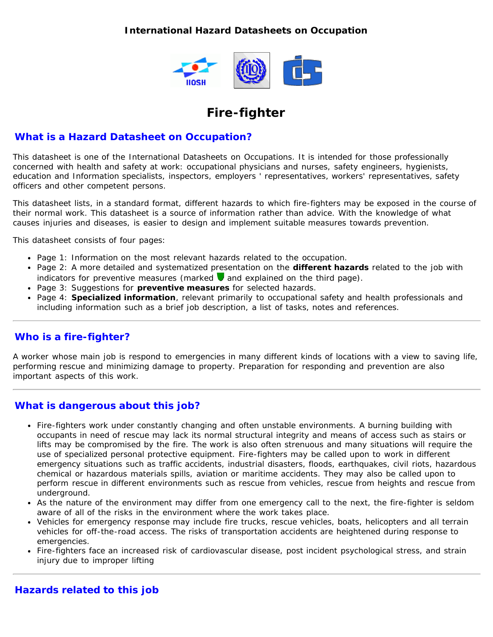## **International Hazard Datasheets on Occupation**



# **Fire-fighter**

## **What is a Hazard Datasheet on Occupation?**

This datasheet is one of the International Datasheets on Occupations. It is intended for those professionally concerned with health and safety at work: occupational physicians and nurses, safety engineers, hygienists, education and Information specialists, inspectors, employers ' representatives, workers' representatives, safety officers and other competent persons.

This datasheet lists, in a standard format, different hazards to which fire-fighters may be exposed in the course of their normal work. This datasheet is a source of information rather than advice. With the knowledge of what causes injuries and diseases, is easier to design and implement suitable measures towards prevention.

This datasheet consists of four pages:

- Page 1: Information on the most relevant hazards related to the occupation.
- Page 2: A more detailed and systematized presentation on the **different hazards** related to the job with indicators for preventive measures (marked  $\blacktriangledown$  and explained on the third page).
- Page 3: Suggestions for **preventive measures** for selected hazards.
- Page 4: **Specialized information**, relevant primarily to occupational safety and health professionals and including information such as a brief job description, a list of tasks, notes and references.

# **Who is a fire-fighter?**

A worker whose main job is respond to emergencies in many different kinds of locations with a view to saving life, performing rescue and minimizing damage to property. Preparation for responding and prevention are also important aspects of this work.

# **What is dangerous about this job?**

- Fire-fighters work under constantly changing and often unstable environments. A burning building with occupants in need of rescue may lack its normal structural integrity and means of access such as stairs or lifts may be compromised by the fire. The work is also often strenuous and many situations will require the use of specialized personal protective equipment. Fire-fighters may be called upon to work in different emergency situations such as traffic accidents, industrial disasters, floods, earthquakes, civil riots, hazardous chemical or hazardous materials spills, aviation or maritime accidents. They may also be called upon to perform rescue in different environments such as rescue from vehicles, rescue from heights and rescue from underground.
- As the nature of the environment may differ from one emergency call to the next, the fire-fighter is seldom aware of all of the risks in the environment where the work takes place.
- Vehicles for emergency response may include fire trucks, rescue vehicles, boats, helicopters and all terrain vehicles for off-the-road access. The risks of transportation accidents are heightened during response to emergencies.
- Fire-fighters face an increased risk of cardiovascular disease, post incident psychological stress, and strain injury due to improper lifting

#### **Hazards related to this job**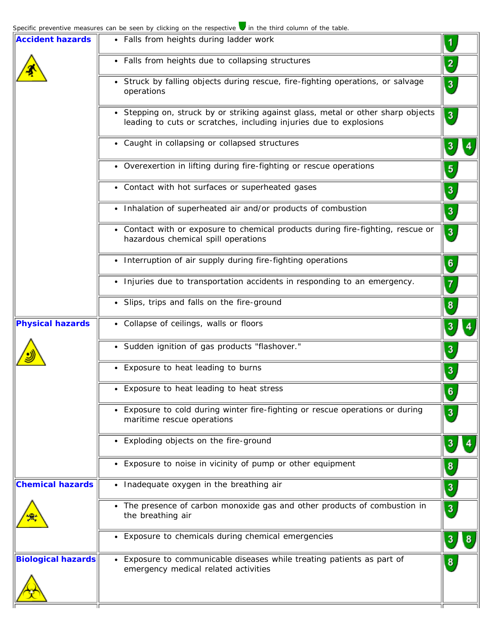| <b>Accident hazards</b>   | • Falls from heights during ladder work                                                                                                                | $\blacktriangleleft$                |
|---------------------------|--------------------------------------------------------------------------------------------------------------------------------------------------------|-------------------------------------|
|                           | • Falls from heights due to collapsing structures                                                                                                      | $\left( \frac{2}{\epsilon} \right)$ |
|                           | • Struck by falling objects during rescue, fire-fighting operations, or salvage<br>operations                                                          | $\overline{\mathbf{3}}$             |
|                           | • Stepping on, struck by or striking against glass, metal or other sharp objects<br>leading to cuts or scratches, including injuries due to explosions | $\mathbf{3}$                        |
|                           | • Caught in collapsing or collapsed structures                                                                                                         | 3                                   |
|                           | • Overexertion in lifting during fire-fighting or rescue operations                                                                                    | $\sqrt{5}$                          |
|                           | • Contact with hot surfaces or superheated gases                                                                                                       | $\mathbf{3}$                        |
|                           | • Inhalation of superheated air and/or products of combustion                                                                                          | $\binom{3}{ }$                      |
|                           | • Contact with or exposure to chemical products during fire-fighting, rescue or<br>hazardous chemical spill operations                                 | $\left  \cdot \right $              |
|                           | • Interruption of air supply during fire-fighting operations                                                                                           | $\boldsymbol{6}$                    |
|                           | • Injuries due to transportation accidents in responding to an emergency.                                                                              | $\left( 7\right)$                   |
|                           | • Slips, trips and falls on the fire-ground                                                                                                            | $\mathbf{8}$                        |
| <b>Physical hazards</b>   | • Collapse of ceilings, walls or floors                                                                                                                | 3                                   |
|                           | · Sudden ignition of gas products "flashover."                                                                                                         | $\mathbf{3}$                        |
|                           | • Exposure to heat leading to burns                                                                                                                    | $\mathbf{3}$                        |
|                           | • Exposure to heat leading to heat stress                                                                                                              | $\sqrt{6}$                          |
|                           | Exposure to cold during winter fire-fighting or rescue operations or during<br>maritime rescue operations                                              | 3                                   |
|                           | • Exploding objects on the fire-ground                                                                                                                 | 3                                   |
|                           | • Exposure to noise in vicinity of pump or other equipment                                                                                             | $\boldsymbol{8}$                    |
| <b>Chemical hazards</b>   | • Inadequate oxygen in the breathing air                                                                                                               | $\mathbf{3}$                        |
|                           | • The presence of carbon monoxide gas and other products of combustion in<br>the breathing air                                                         | $\mathbf{3}$                        |
|                           | Exposure to chemicals during chemical emergencies<br>٠                                                                                                 | 3<br>8                              |
| <b>Biological hazards</b> | Exposure to communicable diseases while treating patients as part of<br>emergency medical related activities                                           | 8                                   |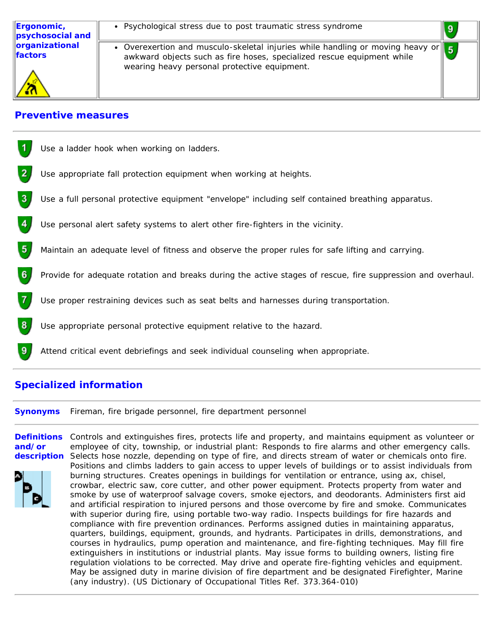Overexertion and musculo-skeletal injuries while handling or moving heavy or  $5<sub>1</sub>$ awkward objects such as fire hoses, specialized rescue equipment while wearing heavy personal protective equipment.

9

#### **Preventive measures**

|   | Use a ladder hook when working on ladders.                                                                  |
|---|-------------------------------------------------------------------------------------------------------------|
| 2 | Use appropriate fall protection equipment when working at heights.                                          |
| 3 | Use a full personal protective equipment "envelope" including self contained breathing apparatus.           |
| 4 | Use personal alert safety systems to alert other fire-fighters in the vicinity.                             |
| 5 | Maintain an adequate level of fitness and observe the proper rules for safe lifting and carrying.           |
| 6 | Provide for adequate rotation and breaks during the active stages of rescue, fire suppression and overhaul. |
|   | Use proper restraining devices such as seat belts and harnesses during transportation.                      |
| 8 | Use appropriate personal protective equipment relative to the hazard.                                       |
| 9 | Attend critical event debriefings and seek individual counseling when appropriate.                          |

# **Specialized information**

**Synonyms** Fireman, fire brigade personnel, fire department personnel

**Definitions and/or description** Selects hose nozzle, depending on type of fire, and directs stream of water or chemicals onto fire. Controls and extinguishes fires, protects life and property, and maintains equipment as volunteer or employee of city, township, or industrial plant: Responds to fire alarms and other emergency calls. Positions and climbs ladders to gain access to upper levels of buildings or to assist individuals from burning structures. Creates openings in buildings for ventilation or entrance, using ax, chisel, crowbar, electric saw, core cutter, and other power equipment. Protects property from water and smoke by use of waterproof salvage covers, smoke ejectors, and deodorants. Administers first aid and artificial respiration to injured persons and those overcome by fire and smoke. Communicates with superior during fire, using portable two-way radio. Inspects buildings for fire hazards and compliance with fire prevention ordinances. Performs assigned duties in maintaining apparatus, quarters, buildings, equipment, grounds, and hydrants. Participates in drills, demonstrations, and courses in hydraulics, pump operation and maintenance, and fire-fighting techniques. May fill fire extinguishers in institutions or industrial plants. May issue forms to building owners, listing fire regulation violations to be corrected. May drive and operate fire-fighting vehicles and equipment. May be assigned duty in marine division of fire department and be designated Firefighter, Marine (any industry). (US Dictionary of Occupational Titles Ref. 373.364-010)